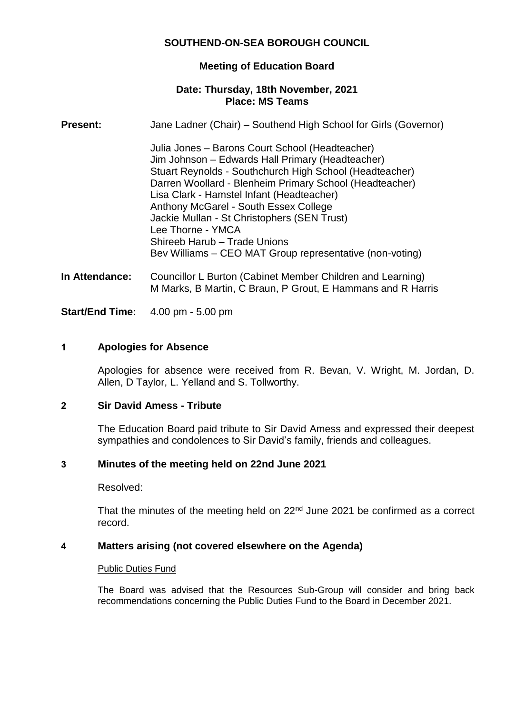# **SOUTHEND-ON-SEA BOROUGH COUNCIL**

# **Meeting of Education Board**

#### **Date: Thursday, 18th November, 2021 Place: MS Teams**

| <b>Present:</b> | Jane Ladner (Chair) – Southend High School for Girls (Governor)                                                                                                                                                                                                                                                                                                                                                                                                                 |
|-----------------|---------------------------------------------------------------------------------------------------------------------------------------------------------------------------------------------------------------------------------------------------------------------------------------------------------------------------------------------------------------------------------------------------------------------------------------------------------------------------------|
|                 | Julia Jones – Barons Court School (Headteacher)<br>Jim Johnson – Edwards Hall Primary (Headteacher)<br>Stuart Reynolds - Southchurch High School (Headteacher)<br>Darren Woollard - Blenheim Primary School (Headteacher)<br>Lisa Clark - Hamstel Infant (Headteacher)<br>Anthony McGarel - South Essex College<br>Jackie Mullan - St Christophers (SEN Trust)<br>Lee Thorne - YMCA<br>Shireeb Harub - Trade Unions<br>Bev Williams – CEO MAT Group representative (non-voting) |
| In Attendance:  | Councillor L Burton (Cabinet Member Children and Learning)<br>M Marks, B Martin, C Braun, P Grout, E Hammans and R Harris                                                                                                                                                                                                                                                                                                                                                       |

**Start/End Time:** 4.00 pm - 5.00 pm

#### **1 Apologies for Absence**

Apologies for absence were received from R. Bevan, V. Wright, M. Jordan, D. Allen, D Taylor, L. Yelland and S. Tollworthy.

#### **2 Sir David Amess - Tribute**

The Education Board paid tribute to Sir David Amess and expressed their deepest sympathies and condolences to Sir David's family, friends and colleagues.

## **3 Minutes of the meeting held on 22nd June 2021**

Resolved:

That the minutes of the meeting held on  $22<sup>nd</sup>$  June 2021 be confirmed as a correct record.

#### **4 Matters arising (not covered elsewhere on the Agenda)**

#### Public Duties Fund

The Board was advised that the Resources Sub-Group will consider and bring back recommendations concerning the Public Duties Fund to the Board in December 2021.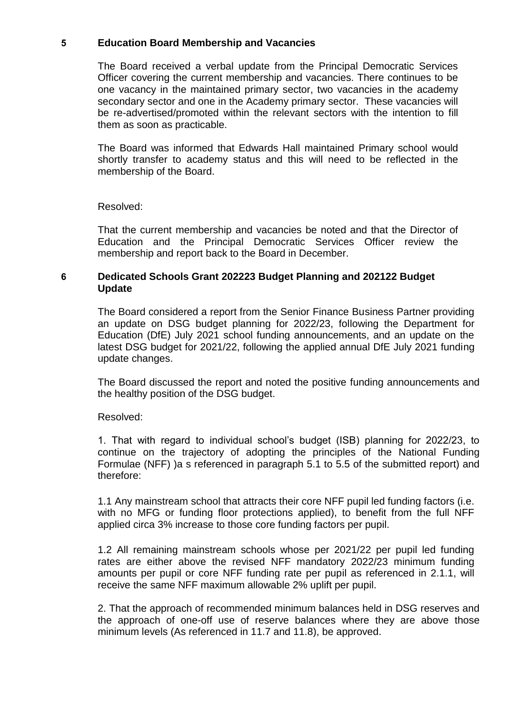# **5 Education Board Membership and Vacancies**

The Board received a verbal update from the Principal Democratic Services Officer covering the current membership and vacancies. There continues to be one vacancy in the maintained primary sector, two vacancies in the academy secondary sector and one in the Academy primary sector. These vacancies will be re-advertised/promoted within the relevant sectors with the intention to fill them as soon as practicable.

The Board was informed that Edwards Hall maintained Primary school would shortly transfer to academy status and this will need to be reflected in the membership of the Board.

## Resolved:

That the current membership and vacancies be noted and that the Director of Education and the Principal Democratic Services Officer review the membership and report back to the Board in December.

## **6 Dedicated Schools Grant 202223 Budget Planning and 202122 Budget Update**

The Board considered a report from the Senior Finance Business Partner providing an update on DSG budget planning for 2022/23, following the Department for Education (DfE) July 2021 school funding announcements, and an update on the latest DSG budget for 2021/22, following the applied annual DfE July 2021 funding update changes.

The Board discussed the report and noted the positive funding announcements and the healthy position of the DSG budget.

## Resolved:

1. That with regard to individual school's budget (ISB) planning for 2022/23, to continue on the trajectory of adopting the principles of the National Funding Formulae (NFF) )a s referenced in paragraph 5.1 to 5.5 of the submitted report) and therefore:

1.1 Any mainstream school that attracts their core NFF pupil led funding factors (i.e. with no MFG or funding floor protections applied), to benefit from the full NFF applied circa 3% increase to those core funding factors per pupil.

1.2 All remaining mainstream schools whose per 2021/22 per pupil led funding rates are either above the revised NFF mandatory 2022/23 minimum funding amounts per pupil or core NFF funding rate per pupil as referenced in 2.1.1, will receive the same NFF maximum allowable 2% uplift per pupil.

2. That the approach of recommended minimum balances held in DSG reserves and the approach of one-off use of reserve balances where they are above those minimum levels (As referenced in 11.7 and 11.8), be approved.